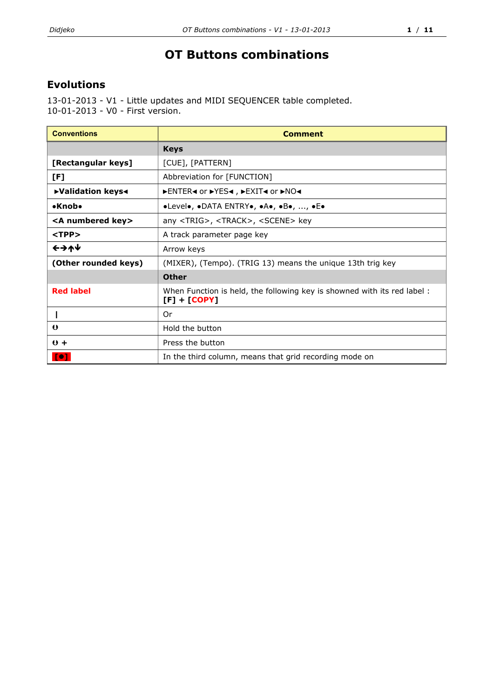## **OT Buttons combinations**

## **Evolutions**

13-01-2013 - V1 - Little updates and MIDI SEQUENCER table completed. 10-01-2013 - V0 - First version.

| <b>Conventions</b>         | <b>Comment</b>                                                                            |  |
|----------------------------|-------------------------------------------------------------------------------------------|--|
|                            | <b>Keys</b>                                                                               |  |
| [Rectangular keys]         | [CUE], [PATTERN]                                                                          |  |
| [F]                        | Abbreviation for [FUNCTION]                                                               |  |
| ▶ Validation keys<         | DENTER< or DYES< , DEXIT< or DNO<                                                         |  |
| $\bullet$ Knob $\bullet$   | ·Level•, •DATA ENTRY•, •A•, •B•, , •E•                                                    |  |
| <a key="" numbered=""></a> | any <trig>, <track/>, <scene> key</scene></trig>                                          |  |
| $<$ TPP $>$                | A track parameter page key                                                                |  |
| ←→↑↓                       | Arrow keys                                                                                |  |
| (Other rounded keys)       | (MIXER), (Tempo). (TRIG 13) means the unique 13th trig key                                |  |
|                            | <b>Other</b>                                                                              |  |
| <b>Red label</b>           | When Function is held, the following key is showned with its red label:<br>$[F] + [COPY]$ |  |
|                            | Or                                                                                        |  |
| $\bullet$                  | Hold the button                                                                           |  |
| $0 +$                      | Press the button                                                                          |  |
| <b>Te1</b>                 | In the third column, means that grid recording mode on                                    |  |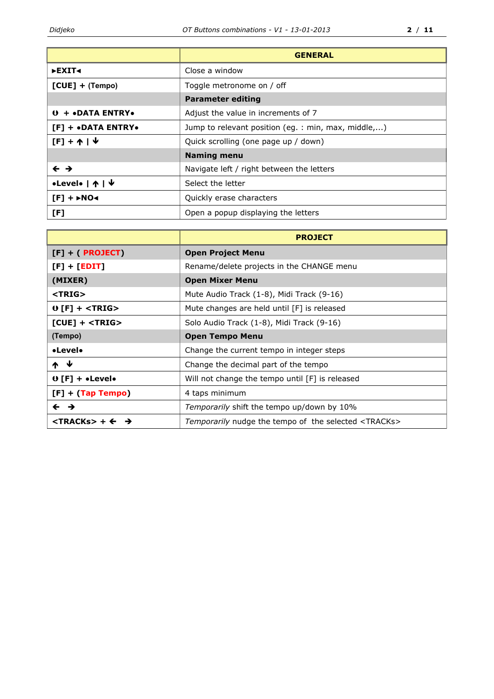|                                             | <b>GENERAL</b>                                      |  |
|---------------------------------------------|-----------------------------------------------------|--|
| ►EXIT<                                      | Close a window                                      |  |
| $[CUE] + (Tempo)$                           | Toggle metronome on / off                           |  |
|                                             | <b>Parameter editing</b>                            |  |
| $0 + \bullet$ DATA ENTRY $\bullet$          | Adjust the value in increments of 7                 |  |
| $[F]$ + $\bullet$ DATA ENTRY $\bullet$      | Jump to relevant position (eg. : min, max, middle,) |  |
| $[F] + \uparrow$                            | Quick scrolling (one page up / down)                |  |
|                                             | <b>Naming menu</b>                                  |  |
| $\leftarrow \rightarrow$                    | Navigate left / right between the letters           |  |
| •Level•   ↑   ↓                             | Select the letter                                   |  |
| $[F]$ + $\triangleright$ NO $\triangleleft$ | Quickly erase characters                            |  |
| [F]                                         | Open a popup displaying the letters                 |  |

|                                                | <b>PROJECT</b>                                                |  |
|------------------------------------------------|---------------------------------------------------------------|--|
| $[F] + ( PROJECT)$                             | <b>Open Project Menu</b>                                      |  |
| $[F] + [EDIT]$                                 | Rename/delete projects in the CHANGE menu                     |  |
| (MIXER)                                        | <b>Open Mixer Menu</b>                                        |  |
| $<$ TRIG $>$                                   | Mute Audio Track (1-8), Midi Track (9-16)                     |  |
| $0$ [F] + $\le$ TRIG $>$                       | Mute changes are held until [F] is released                   |  |
| $[CUE]$ + $<$ TRIG $>$                         | Solo Audio Track (1-8), Midi Track (9-16)                     |  |
| (Tempo)                                        | <b>Open Tempo Menu</b>                                        |  |
| •Level•                                        | Change the current tempo in integer steps                     |  |
| $\uparrow$ $\downarrow$                        | Change the decimal part of the tempo                          |  |
| $\theta$ [F] + • Level•                        | Will not change the tempo until [F] is released               |  |
| $[F] + (Tap Tempo)$                            | 4 taps minimum                                                |  |
| $\leftarrow$ $\rightarrow$                     | Temporarily shift the tempo up/down by 10%                    |  |
| $\langle$ TRACKs> + $\leftarrow$ $\rightarrow$ | Temporarily nudge the tempo of the selected <tracks></tracks> |  |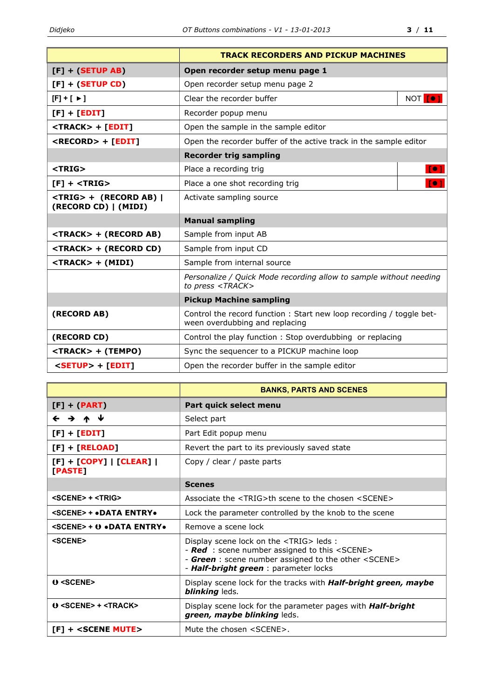|                                                        | <b>TRACK RECORDERS AND PICKUP MACHINES</b>                                                            |                 |
|--------------------------------------------------------|-------------------------------------------------------------------------------------------------------|-----------------|
| $[F] + (SETUP AB)$                                     | Open recorder setup menu page 1                                                                       |                 |
| $[F] + (SETUP CD)$                                     | Open recorder setup menu page 2                                                                       |                 |
| $[F]+[+]$                                              | Clear the recorder buffer                                                                             | NOT <b>[</b> O] |
| $[F] + [EDIT]$                                         | Recorder popup menu                                                                                   |                 |
| <track/> + [EDIT]                                      | Open the sample in the sample editor                                                                  |                 |
| <record> + [EDIT]</record>                             | Open the recorder buffer of the active track in the sample editor                                     |                 |
|                                                        | <b>Recorder trig sampling</b>                                                                         |                 |
| <trig></trig>                                          | Place a recording trig                                                                                |                 |
| $[F]$ + <trig></trig>                                  | Place a one shot recording trig                                                                       | [0]             |
| <trig> + (RECORD AB)  <br/>(RECORD CD)   (MIDI)</trig> | Activate sampling source                                                                              |                 |
|                                                        | <b>Manual sampling</b>                                                                                |                 |
| <track/> + (RECORD AB)                                 | Sample from input AB                                                                                  |                 |
| <track/> + (RECORD CD)                                 | Sample from input CD                                                                                  |                 |
| <track/> + (MIDI)                                      | Sample from internal source                                                                           |                 |
|                                                        | Personalize / Quick Mode recording allow to sample without needing<br>to press <track/>               |                 |
|                                                        | <b>Pickup Machine sampling</b>                                                                        |                 |
| (RECORD AB)                                            | Control the record function: Start new loop recording / toggle bet-<br>ween overdubbing and replacing |                 |
| (RECORD CD)                                            | Control the play function: Stop overdubbing or replacing                                              |                 |
| <track/> + (TEMPO)                                     | Sync the sequencer to a PICKUP machine loop                                                           |                 |
| <setup> + [EDIT]</setup>                               | Open the recorder buffer in the sample editor                                                         |                 |

|                                       | <b>BANKS, PARTS AND SCENES</b>                                                                                                                                                                                     |  |
|---------------------------------------|--------------------------------------------------------------------------------------------------------------------------------------------------------------------------------------------------------------------|--|
| $[F] + (PART)$                        | Part quick select menu                                                                                                                                                                                             |  |
| ← → ↑ ↓                               | Select part                                                                                                                                                                                                        |  |
| $[F] + [EDIT]$                        | Part Edit popup menu                                                                                                                                                                                               |  |
| $[F] + [RELOAD]$                      | Revert the part to its previously saved state                                                                                                                                                                      |  |
| $[F] + [COPY]   [CLEAR]  $<br>[PASTE] | Copy / clear / paste parts                                                                                                                                                                                         |  |
|                                       | <b>Scenes</b>                                                                                                                                                                                                      |  |
| $<$ SCENE> + $<$ TRIG>                | Associate the <trig>th scene to the chosen <scene></scene></trig>                                                                                                                                                  |  |
| <scene> + .DATA ENTRY.</scene>        | Lock the parameter controlled by the knob to the scene                                                                                                                                                             |  |
| <scene> + 0 .DATA ENTRY.</scene>      | Remove a scene lock                                                                                                                                                                                                |  |
| <scene></scene>                       | Display scene lock on the <trig> leds:<br/>- Red : scene number assigned to this <scene><br/>- Green : scene number assigned to the other <scene><br/>- Half-bright green : parameter locks</scene></scene></trig> |  |
| $0$ <scene></scene>                   | Display scene lock for the tracks with <b>Half-bright green, maybe</b><br><b>blinking</b> leds.                                                                                                                    |  |
| $0$ <scene> + <track/></scene>        | Display scene lock for the parameter pages with <b>Half-bright</b><br>green, maybe blinking leds.                                                                                                                  |  |
| $[F]$ + <scene mute=""></scene>       | Mute the chosen <scene>.</scene>                                                                                                                                                                                   |  |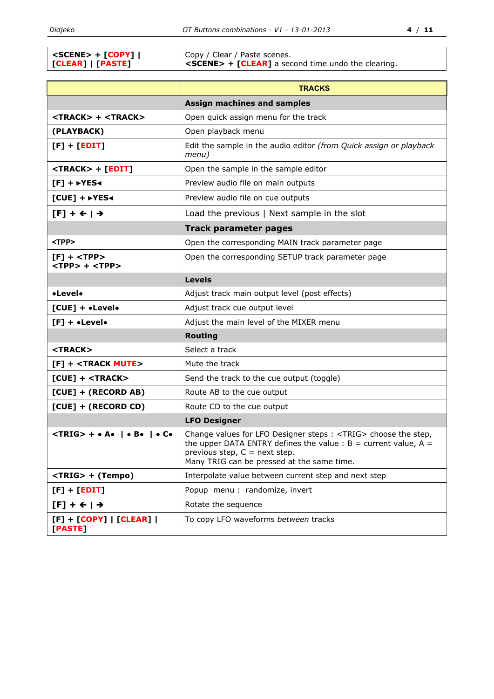|                         | Copy / Clear / Paste scenes.                                       |
|-------------------------|--------------------------------------------------------------------|
| <b>CLEAR]   [PASTE]</b> | $\vert$ <scene> + [CLEAR] a second time undo the clearing.</scene> |

|                                                   | <b>TRACKS</b>                                                                                                                                                                                                                                                     |  |
|---------------------------------------------------|-------------------------------------------------------------------------------------------------------------------------------------------------------------------------------------------------------------------------------------------------------------------|--|
|                                                   | <b>Assign machines and samples</b>                                                                                                                                                                                                                                |  |
| <track/> + <track/>                               | Open quick assign menu for the track                                                                                                                                                                                                                              |  |
| (PLAYBACK)                                        | Open playback menu                                                                                                                                                                                                                                                |  |
| $[F] + [EDIT]$                                    | Edit the sample in the audio editor (from Quick assign or playback<br>menu)                                                                                                                                                                                       |  |
| <track/> + [EDIT]                                 | Open the sample in the sample editor                                                                                                                                                                                                                              |  |
| $[F]$ + $\rightarrow$ YES $\rightarrow$           | Preview audio file on main outputs                                                                                                                                                                                                                                |  |
| $[CUE]$ + $\triangleright$ YES<                   | Preview audio file on cue outputs                                                                                                                                                                                                                                 |  |
| $[F] + \leftarrow   \rightarrow$                  | Load the previous   Next sample in the slot                                                                                                                                                                                                                       |  |
|                                                   | <b>Track parameter pages</b>                                                                                                                                                                                                                                      |  |
| <tpp></tpp>                                       | Open the corresponding MAIN track parameter page                                                                                                                                                                                                                  |  |
| $[F]$ + <tpp><br/><tpp> + <tpp></tpp></tpp></tpp> | Open the corresponding SETUP track parameter page                                                                                                                                                                                                                 |  |
|                                                   | <b>Levels</b>                                                                                                                                                                                                                                                     |  |
| •Level•                                           | Adjust track main output level (post effects)                                                                                                                                                                                                                     |  |
| $[CUE] + \bullet Level \bullet$                   | Adjust track cue output level                                                                                                                                                                                                                                     |  |
| $[F] + \bullet$ Level $\bullet$                   | Adjust the main level of the MIXER menu                                                                                                                                                                                                                           |  |
|                                                   | <b>Routing</b>                                                                                                                                                                                                                                                    |  |
| <track/>                                          | Select a track                                                                                                                                                                                                                                                    |  |
| $[F]$ + <track mute=""/>                          | Mute the track                                                                                                                                                                                                                                                    |  |
| $[CUE]$ + <track/>                                | Send the track to the cue output (toggle)                                                                                                                                                                                                                         |  |
| [CUE] + (RECORD AB)                               | Route AB to the cue output                                                                                                                                                                                                                                        |  |
| [CUE] + (RECORD CD)                               | Route CD to the cue output                                                                                                                                                                                                                                        |  |
|                                                   | <b>LFO Designer</b>                                                                                                                                                                                                                                               |  |
| $\langle$ TRIG> + • A•   • B•   • C•              | Change values for LFO Designer steps : <trig> choose the step,<br/>the upper DATA ENTRY defines the value : <math>B =</math> current value, <math>A =</math><br/>previous step, <math>C =</math> next step.<br/>Many TRIG can be pressed at the same time.</trig> |  |
| <trig> + (Tempo)</trig>                           | Interpolate value between current step and next step                                                                                                                                                                                                              |  |
| $[F] + [EDIT]$                                    | Popup menu : randomize, invert                                                                                                                                                                                                                                    |  |
| $[F] + \leftarrow$   $\rightarrow$                | Rotate the sequence                                                                                                                                                                                                                                               |  |
| $[F] + [COPY]   [CLEAR]  $<br>[PASTE]             | To copy LFO waveforms between tracks                                                                                                                                                                                                                              |  |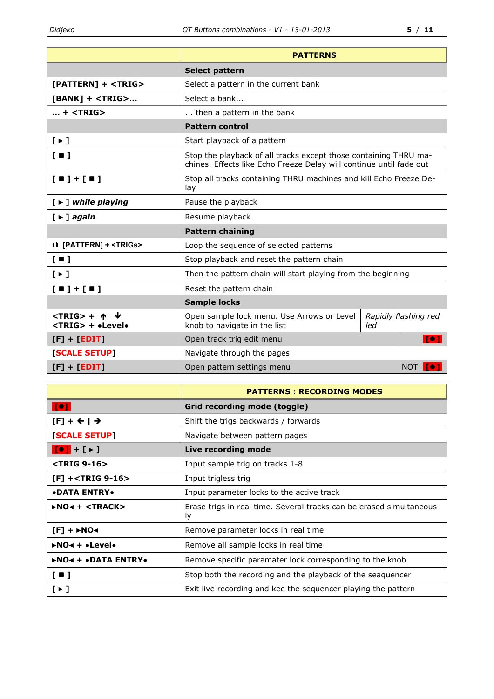|                                                   | <b>PATTERNS</b>                                                                                                                         |  |            |
|---------------------------------------------------|-----------------------------------------------------------------------------------------------------------------------------------------|--|------------|
|                                                   | <b>Select pattern</b>                                                                                                                   |  |            |
| $[PATHEN] + $                                     | Select a pattern in the current bank                                                                                                    |  |            |
| $[BANK]$ + <trig></trig>                          | Select a bank                                                                                                                           |  |            |
| $ + $                                             | then a pattern in the bank                                                                                                              |  |            |
|                                                   | <b>Pattern control</b>                                                                                                                  |  |            |
| $[\rightarrow]$                                   | Start playback of a pattern                                                                                                             |  |            |
| $\left[ \blacksquare \right]$                     | Stop the playback of all tracks except those containing THRU ma-<br>chines. Effects like Echo Freeze Delay will continue until fade out |  |            |
| $[1] + [1]$                                       | Stop all tracks containing THRU machines and kill Echo Freeze De-<br>lay                                                                |  |            |
| $[ \triangleright ]$ while playing                | Pause the playback                                                                                                                      |  |            |
| $[\triangleright]$ again                          | Resume playback                                                                                                                         |  |            |
|                                                   | <b>Pattern chaining</b>                                                                                                                 |  |            |
| 0 [PATTERN] + <trigs></trigs>                     | Loop the sequence of selected patterns                                                                                                  |  |            |
| [1]                                               | Stop playback and reset the pattern chain                                                                                               |  |            |
| $[ \cdot ]$                                       | Then the pattern chain will start playing from the beginning                                                                            |  |            |
| $[$ $\blacksquare$ $]$ + $[$ $\blacksquare$ $]$   | Reset the pattern chain                                                                                                                 |  |            |
|                                                   | <b>Sample locks</b>                                                                                                                     |  |            |
| $<$ TRIG> + $\uparrow$<br><trig> + •Level•</trig> | Open sample lock menu. Use Arrows or Level<br>Rapidly flashing red<br>knob to navigate in the list<br>led                               |  |            |
| $[F] + [EDIT]$                                    | Open track trig edit menu                                                                                                               |  |            |
| [SCALE SETUP]                                     | Navigate through the pages                                                                                                              |  |            |
| $[F] + [EDIT]$                                    | Open pattern settings menu                                                                                                              |  | <b>NOT</b> |

|                                         | <b>PATTERNS: RECORDING MODES</b>                                                  |  |
|-----------------------------------------|-----------------------------------------------------------------------------------|--|
| [0]                                     | Grid recording mode (toggle)                                                      |  |
| $[F] + \leftarrow$ $\rightarrow$        | Shift the trigs backwards / forwards                                              |  |
| <b>[SCALE SETUP]</b>                    | Navigate between pattern pages                                                    |  |
| $[0] + [1]$                             | Live recording mode                                                               |  |
| $\langle$ TRIG 9-16 $\rangle$           | Input sample trig on tracks 1-8                                                   |  |
| $[F]$ + <trig 9-16=""></trig>           | Input trigless trig                                                               |  |
| <b>•DATA ENTRY•</b>                     | Input parameter locks to the active track                                         |  |
| $NQ4 + $                                | Erase trigs in real time. Several tracks can be erased simultaneous-<br><u>ly</u> |  |
| $[F] + \triangleright NO \triangleleft$ | Remove parameter locks in real time                                               |  |
| $NQ4 + \bullet$ Levelo                  | Remove all sample locks in real time                                              |  |
| <b>&gt;NO&lt;+ •DATA ENTRY•</b>         | Remove specific paramater lock corresponding to the knob                          |  |
| $[$ $\blacksquare$                      | Stop both the recording and the playback of the seaquencer                        |  |
| $[\cdot]$                               | Exit live recording and kee the sequencer playing the pattern                     |  |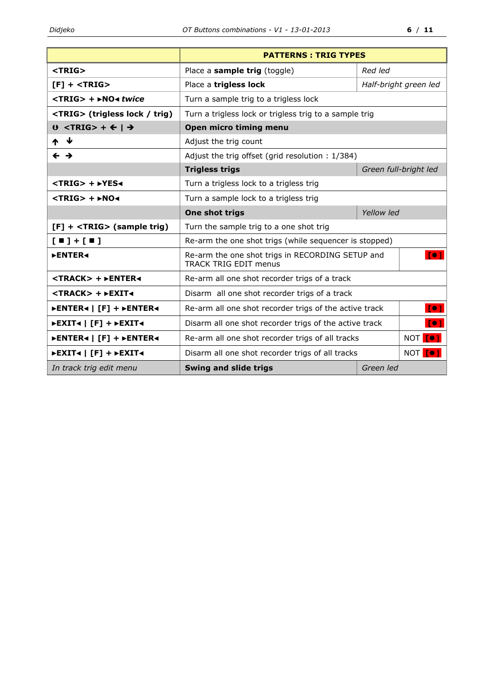|                                                                           | <b>PATTERNS: TRIG TYPES</b>                                                      |           |                       |
|---------------------------------------------------------------------------|----------------------------------------------------------------------------------|-----------|-----------------------|
| <trig></trig>                                                             | Place a sample trig (toggle)                                                     | Red led   |                       |
| $[F]$ + <trig></trig>                                                     | Place a trigless lock                                                            |           | Half-bright green led |
| $\langle \text{TRIG} \rangle$ + $\triangleright$ NO $\triangleleft$ twice | Turn a sample trig to a trigless lock                                            |           |                       |
| <trig> (trigless lock / trig)</trig>                                      | Turn a trigless lock or trigless trig to a sample trig                           |           |                       |
| $0$ <trig> + <math>\leftarrow</math>   <math>\rightarrow</math></trig>    | Open micro timing menu                                                           |           |                       |
| – ↓<br>ᠰ                                                                  | Adjust the trig count                                                            |           |                       |
| $\leftrightarrow$                                                         | Adjust the trig offset (grid resolution: 1/384)                                  |           |                       |
|                                                                           | <b>Trigless trigs</b>                                                            |           | Green full-bright led |
| <trig> + ►YES∢</trig>                                                     | Turn a trigless lock to a trigless trig                                          |           |                       |
| $\langle TRIG \rangle$ + $\triangleright$ NO $\triangleleft$              | Turn a sample lock to a trigless trig                                            |           |                       |
|                                                                           | Yellow led<br>One shot trigs                                                     |           |                       |
| [F] + <trig> (sample trig)</trig>                                         | Turn the sample trig to a one shot trig                                          |           |                       |
| $[$ $\blacksquare$ $]$ + $[$ $\blacksquare$ $]$                           | Re-arm the one shot trigs (while sequencer is stopped)                           |           |                       |
| <b>&gt;ENTER4</b>                                                         | Re-arm the one shot trigs in RECORDING SETUP and<br><b>TRACK TRIG EDIT menus</b> |           | Te <sub>1</sub>       |
| <track/> + ►ENTER◀                                                        | Re-arm all one shot recorder trigs of a track                                    |           |                       |
| <track/> + >EXIT<                                                         | Disarm all one shot recorder trigs of a track                                    |           |                       |
| <b>▶ENTER◀   [F] + ▶ENTER◀</b>                                            | Re-arm all one shot recorder trigs of the active track<br>$I^{\bullet}$          |           |                       |
| ►EXIT<   [F] + ►EXIT<                                                     | $I^{\bullet}1$<br>Disarm all one shot recorder trigs of the active track         |           |                       |
| ▶ENTER◀   [F] + ▶ENTER◀                                                   | NOT [O]<br>Re-arm all one shot recorder trigs of all tracks                      |           |                       |
| $\blacktriangleright$ EXIT< $\mid$ [F] + $\blacktriangleright$ EXIT<      | NOT [O]<br>Disarm all one shot recorder trigs of all tracks                      |           |                       |
| In track trig edit menu                                                   | <b>Swing and slide trigs</b>                                                     | Green led |                       |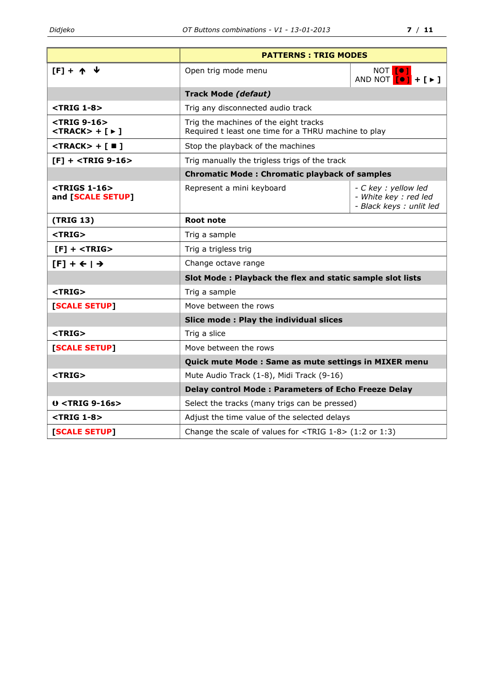|                                                                                        | <b>PATTERNS: TRIG MODES</b>                                                                   |                                                                                                                                   |
|----------------------------------------------------------------------------------------|-----------------------------------------------------------------------------------------------|-----------------------------------------------------------------------------------------------------------------------------------|
| $[F] + \uparrow \uparrow \uparrow$                                                     | Open trig mode menu                                                                           | NOT <b>[O]</b><br>AND NOT $\begin{bmatrix} \bullet \\ \bullet \end{bmatrix}$ + $\begin{bmatrix} \bullet \\ \bullet \end{bmatrix}$ |
|                                                                                        | <b>Track Mode (defaut)</b>                                                                    |                                                                                                                                   |
| <trig 1-8=""></trig>                                                                   | Trig any disconnected audio track                                                             |                                                                                                                                   |
| <trig 9-16=""><br/><math>&lt;</math>TRACK&gt; + [ <math>\triangleright</math> ]</trig> | Trig the machines of the eight tracks<br>Required t least one time for a THRU machine to play |                                                                                                                                   |
| $<$ TRACK> + [ $\blacksquare$ ]                                                        | Stop the playback of the machines                                                             |                                                                                                                                   |
| $[F]$ + <trig 9-16=""></trig>                                                          | Trig manually the trigless trigs of the track                                                 |                                                                                                                                   |
|                                                                                        | <b>Chromatic Mode: Chromatic playback of samples</b>                                          |                                                                                                                                   |
| <trigs 1-16=""><br/>and [SCALE SETUP]</trigs>                                          | Represent a mini keyboard                                                                     | - C key : yellow led<br>- White key : red led<br>- Black keys : unlit led                                                         |
| (TRIG 13)                                                                              | <b>Root note</b>                                                                              |                                                                                                                                   |
| <trig></trig>                                                                          | Trig a sample                                                                                 |                                                                                                                                   |
| $[F]$ + <trig></trig>                                                                  | Trig a trigless trig                                                                          |                                                                                                                                   |
| $[F] + \leftarrow$   $\rightarrow$                                                     | Change octave range                                                                           |                                                                                                                                   |
|                                                                                        | Slot Mode: Playback the flex and static sample slot lists                                     |                                                                                                                                   |
| <trig></trig>                                                                          | Trig a sample                                                                                 |                                                                                                                                   |
| [SCALE SETUP]                                                                          | Move between the rows                                                                         |                                                                                                                                   |
|                                                                                        | Slice mode: Play the individual slices                                                        |                                                                                                                                   |
| <trig></trig>                                                                          | Trig a slice                                                                                  |                                                                                                                                   |
| [SCALE SETUP]                                                                          | Move between the rows                                                                         |                                                                                                                                   |
|                                                                                        | Quick mute Mode: Same as mute settings in MIXER menu                                          |                                                                                                                                   |
| $<$ TRIG $>$                                                                           | Mute Audio Track (1-8), Midi Track (9-16)                                                     |                                                                                                                                   |
|                                                                                        | <b>Delay control Mode: Parameters of Echo Freeze Delay</b>                                    |                                                                                                                                   |
| $0$ <trig 9-16s=""></trig>                                                             | Select the tracks (many trigs can be pressed)                                                 |                                                                                                                                   |
| <trig 1-8=""></trig>                                                                   | Adjust the time value of the selected delays                                                  |                                                                                                                                   |
| [SCALE SETUP]                                                                          | Change the scale of values for <trig 1-8=""> (1:2 or 1:3)</trig>                              |                                                                                                                                   |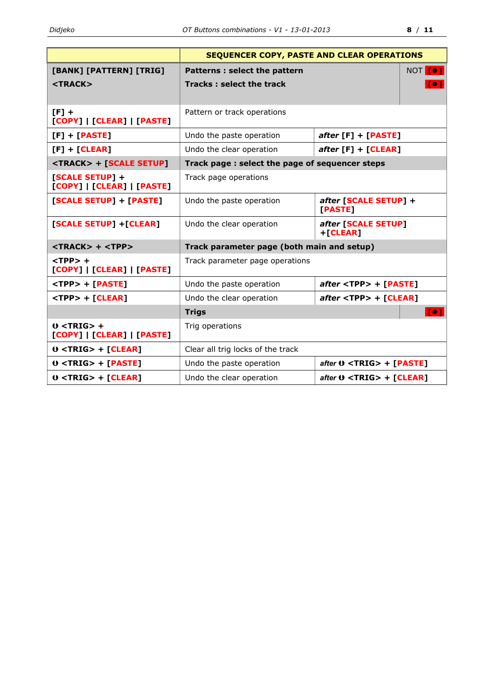|                                                    | SEQUENCER COPY, PASTE AND CLEAR OPERATIONS     |                                  |
|----------------------------------------------------|------------------------------------------------|----------------------------------|
| [BANK] [PATTERN] [TRIG]                            | Patterns : select the pattern                  | NOT [O]                          |
| $<$ TRACK $>$                                      | <b>Tracks: select the track</b>                | To 1                             |
|                                                    |                                                |                                  |
| $[F]$ +<br>[COPY]   [CLEAR]   [PASTE]              | Pattern or track operations                    |                                  |
| $[F] + [PASTE]$                                    | Undo the paste operation                       | $after [F] + [PASTE]$            |
| $[F] + [CLEAR]$                                    | Undo the clear operation                       | $after [F] + [CLEAR]$            |
| <track/> + [SCALE SETUP]                           | Track page: select the page of sequencer steps |                                  |
| [SCALE SETUP] +<br>[COPY]   [CLEAR]   [PASTE]      | Track page operations                          |                                  |
| [SCALE SETUP] + [PASTE]                            | Undo the paste operation                       | after [SCALE SETUP] +<br>[PASTE] |
| [SCALE SETUP] + [CLEAR]                            | Undo the clear operation                       | after [SCALE SETUP]<br>+[CLEAR]  |
| $<$ TRACK> + $<$ TPP>                              | Track parameter page (both main and setup)     |                                  |
| $<$ TPP $>$ +<br>[COPY]   [CLEAR]   [PASTE]        | Track parameter page operations                |                                  |
| <tpp> + [PASTE]</tpp>                              | Undo the paste operation                       | $after$ <tpp> + [PASTE]</tpp>    |
| <tpp> + [CLEAR]</tpp>                              | Undo the clear operation                       | $after$ <tpp> + [CLEAR]</tpp>    |
|                                                    | <b>Trigs</b>                                   | [0]                              |
| $0$ <trig> +<br/>[COPY]   [CLEAR]   [PASTE]</trig> | Trig operations                                |                                  |
| $0$ <trig> + [CLEAR]</trig>                        | Clear all trig locks of the track              |                                  |
| $0$ <trig> + [PASTE]</trig>                        | Undo the paste operation                       | $after 0 < TRIG > + [PASTE]$     |
| $0$ <trig> + [CLEAR]</trig>                        | Undo the clear operation                       | after $0 < TRIG$ + [CLEAR]       |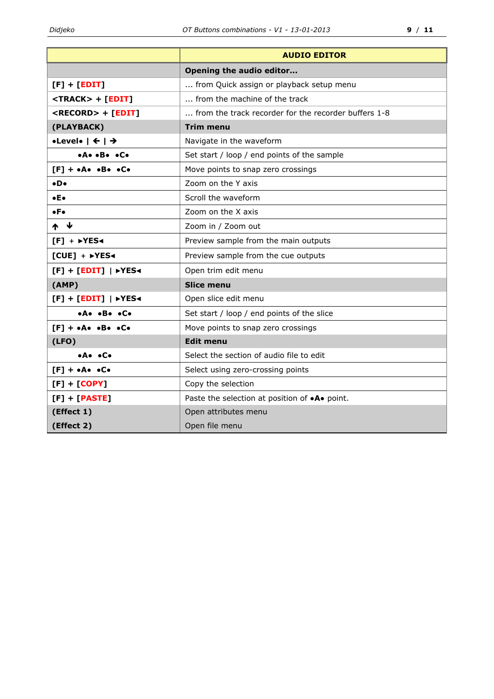|                                                   | <b>AUDIO EDITOR</b>                                          |  |  |
|---------------------------------------------------|--------------------------------------------------------------|--|--|
|                                                   | Opening the audio editor                                     |  |  |
| $[F] + [EDIT]$                                    | from Quick assign or playback setup menu                     |  |  |
| <track/> + [EDIT]                                 | from the machine of the track                                |  |  |
| <record> + [EDIT]</record>                        | from the track recorder for the recorder buffers 1-8         |  |  |
| (PLAYBACK)                                        | <b>Trim menu</b>                                             |  |  |
| •Level• $\vert \leftarrow \vert \rightarrow$      | Navigate in the waveform                                     |  |  |
| .A. .B. .C.                                       | Set start / loop / end points of the sample                  |  |  |
| $[F] + \cdot A \cdot \cdot B \cdot \cdot C \cdot$ | Move points to snap zero crossings                           |  |  |
| $\bullet$ D $\bullet$                             | Zoom on the Y axis                                           |  |  |
| $\bullet$ E $\bullet$                             | Scroll the waveform                                          |  |  |
| $\bullet$ F $\bullet$                             | Zoom on the X axis                                           |  |  |
| ₩<br>₼                                            | Zoom in / Zoom out                                           |  |  |
| $[F] + \rightarrow YES$                           | Preview sample from the main outputs                         |  |  |
| $[CUE] + FYES4$                                   | Preview sample from the cue outputs                          |  |  |
| $[F] + [EDIT]  $ >YES<                            | Open trim edit menu                                          |  |  |
| (AMP)                                             | <b>Slice menu</b>                                            |  |  |
| $[F] + [EDIT]  $ >YES<                            | Open slice edit menu                                         |  |  |
| .A. .B. .C.                                       | Set start / loop / end points of the slice                   |  |  |
| $[F] + \cdot A \cdot \cdot B \cdot \cdot C \cdot$ | Move points to snap zero crossings                           |  |  |
| (LFO)                                             | <b>Edit menu</b>                                             |  |  |
| •A• •C•                                           | Select the section of audio file to edit                     |  |  |
| $[F] + \cdot A \cdot \cdot C \cdot$               | Select using zero-crossing points                            |  |  |
| $[F] + [COPY]$                                    | Copy the selection                                           |  |  |
| $[F] + [PASTE]$                                   | Paste the selection at position of $\bullet A\bullet$ point. |  |  |
| (Effect 1)                                        | Open attributes menu                                         |  |  |
| (Effect 2)                                        | Open file menu                                               |  |  |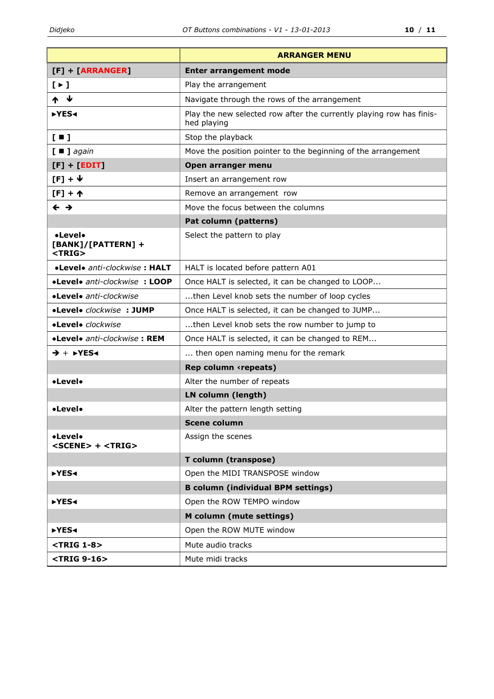|                                                          | <b>ARRANGER MENU</b>                                                                |  |  |
|----------------------------------------------------------|-------------------------------------------------------------------------------------|--|--|
| $[F] + [ARRANGER]$                                       | <b>Enter arrangement mode</b>                                                       |  |  |
| $[ \cdot ]$                                              | Play the arrangement                                                                |  |  |
| ₩                                                        | Navigate through the rows of the arrangement                                        |  |  |
| ►YES4                                                    | Play the new selected row after the currently playing row has finis-<br>hed playing |  |  |
| $\left[\begin{array}{c} \blacksquare \end{array}\right]$ | Stop the playback                                                                   |  |  |
| $[$ $\blacksquare$ ] again                               | Move the position pointer to the beginning of the arrangement                       |  |  |
| $[F] + [EDIT]$                                           | Open arranger menu                                                                  |  |  |
| $[F] + \Psi$                                             | Insert an arrangement row                                                           |  |  |
| $[F] + \uparrow$                                         | Remove an arrangement row                                                           |  |  |
| $\leftarrow \rightarrow$                                 | Move the focus between the columns                                                  |  |  |
|                                                          | Pat column (patterns)                                                               |  |  |
| •Level•<br>[BANK]/[PATTERN] +<br>$<$ TRIG $>$            | Select the pattern to play                                                          |  |  |
| •Level• anti-clockwise: HALT                             | HALT is located before pattern A01                                                  |  |  |
| •Level• anti-clockwise: LOOP                             | Once HALT is selected, it can be changed to LOOP                                    |  |  |
| •Level• anti-clockwise                                   | then Level knob sets the number of loop cycles                                      |  |  |
| •Level• clockwise : JUMP                                 | Once HALT is selected, it can be changed to JUMP                                    |  |  |
| •Level• clockwise                                        | then Level knob sets the row number to jump to                                      |  |  |
| •Level• anti-clockwise: REM                              | Once HALT is selected, it can be changed to REM                                     |  |  |
| $\rightarrow +$ $\rightarrow$ YES4                       | then open naming menu for the remark                                                |  |  |
|                                                          | Rep column <repeats)< th=""></repeats)<>                                            |  |  |
| •Level•                                                  | Alter the number of repeats                                                         |  |  |
|                                                          | LN column (length)                                                                  |  |  |
| •Level•                                                  | Alter the pattern length setting                                                    |  |  |
|                                                          | <b>Scene column</b>                                                                 |  |  |
| •Level•<br>$<$ SCENE $>$ + $<$ TRIG $>$                  | Assign the scenes                                                                   |  |  |
|                                                          | T column (transpose)                                                                |  |  |
| ▶YES4                                                    | Open the MIDI TRANSPOSE window                                                      |  |  |
|                                                          | <b>B column (individual BPM settings)</b>                                           |  |  |
| ▶YES4                                                    | Open the ROW TEMPO window                                                           |  |  |
|                                                          | M column (mute settings)                                                            |  |  |
| ►YES4                                                    | Open the ROW MUTE window                                                            |  |  |
| $<$ TRIG 1-8 $>$                                         | Mute audio tracks                                                                   |  |  |
| <trig 9-16=""></trig>                                    | Mute midi tracks                                                                    |  |  |